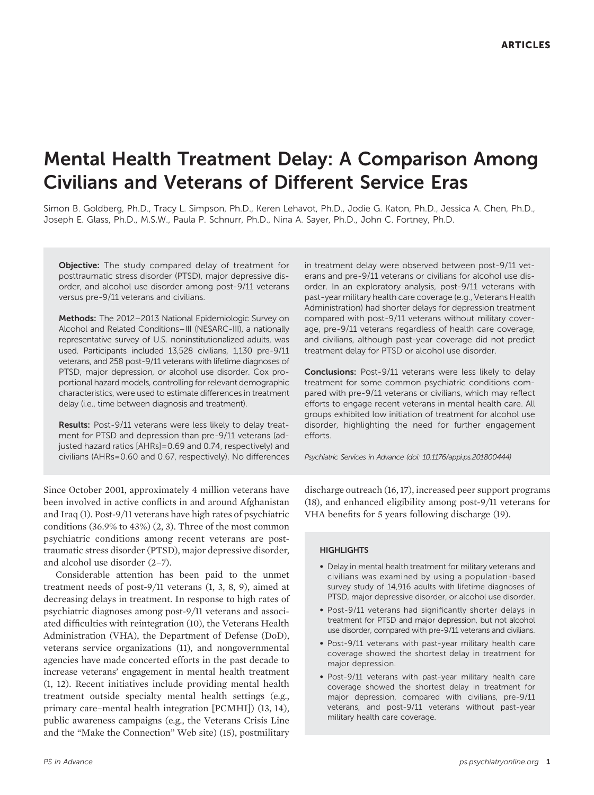# Mental Health Treatment Delay: A Comparison Among Civilians and Veterans of Different Service Eras

Simon B. Goldberg, Ph.D., Tracy L. Simpson, Ph.D., Keren Lehavot, Ph.D., Jodie G. Katon, Ph.D., Jessica A. Chen, Ph.D., Joseph E. Glass, Ph.D., M.S.W., Paula P. Schnurr, Ph.D., Nina A. Sayer, Ph.D., John C. Fortney, Ph.D.

Objective: The study compared delay of treatment for posttraumatic stress disorder (PTSD), major depressive disorder, and alcohol use disorder among post-9/11 veterans versus pre-9/11 veterans and civilians.

Methods: The 2012–2013 National Epidemiologic Survey on Alcohol and Related Conditions–III (NESARC-III), a nationally representative survey of U.S. noninstitutionalized adults, was used. Participants included 13,528 civilians, 1,130 pre-9/11 veterans, and 258 post-9/11 veterans with lifetime diagnoses of PTSD, major depression, or alcohol use disorder. Cox proportional hazard models, controlling for relevant demographic characteristics, were used to estimate differences in treatment delay (i.e., time between diagnosis and treatment).

Results: Post-9/11 veterans were less likely to delay treatment for PTSD and depression than pre-9/11 veterans (adjusted hazard ratios [AHRs]=0.69 and 0.74, respectively) and civilians (AHRs=0.60 and 0.67, respectively). No differences in treatment delay were observed between post-9/11 veterans and pre-9/11 veterans or civilians for alcohol use disorder. In an exploratory analysis, post-9/11 veterans with past-year military health care coverage (e.g., Veterans Health Administration) had shorter delays for depression treatment compared with post-9/11 veterans without military coverage, pre-9/11 veterans regardless of health care coverage, and civilians, although past-year coverage did not predict treatment delay for PTSD or alcohol use disorder.

Conclusions: Post-9/11 veterans were less likely to delay treatment for some common psychiatric conditions compared with pre-9/11 veterans or civilians, which may reflect efforts to engage recent veterans in mental health care. All groups exhibited low initiation of treatment for alcohol use disorder, highlighting the need for further engagement efforts.

Psychiatric Services in Advance (doi: 10.1176/appi.ps.201800444)

Since October 2001, approximately 4 million veterans have been involved in active conflicts in and around Afghanistan and Iraq (1). Post-9/11 veterans have high rates of psychiatric conditions (36.9% to 43%) (2, 3). Three of the most common psychiatric conditions among recent veterans are posttraumatic stress disorder (PTSD), major depressive disorder, and alcohol use disorder (2–7).

Considerable attention has been paid to the unmet treatment needs of post-9/11 veterans (1, 3, 8, 9), aimed at decreasing delays in treatment. In response to high rates of psychiatric diagnoses among post-9/11 veterans and associated difficulties with reintegration (10), the Veterans Health Administration (VHA), the Department of Defense (DoD), veterans service organizations (11), and nongovernmental agencies have made concerted efforts in the past decade to increase veterans' engagement in mental health treatment (1, 12). Recent initiatives include providing mental health treatment outside specialty mental health settings (e.g., primary care–mental health integration [PCMHI]) (13, 14), public awareness campaigns (e.g., the Veterans Crisis Line and the "Make the Connection" Web site) (15), postmilitary

discharge outreach (16, 17), increased peer support programs (18), and enhanced eligibility among post-9/11 veterans for VHA benefits for 5 years following discharge (19).

## **HIGHLIGHTS**

- Delay in mental health treatment for military veterans and civilians was examined by using a population-based survey study of 14,916 adults with lifetime diagnoses of PTSD, major depressive disorder, or alcohol use disorder.
- Post-9/11 veterans had significantly shorter delays in treatment for PTSD and major depression, but not alcohol use disorder, compared with pre-9/11 veterans and civilians.
- Post-9/11 veterans with past-year military health care coverage showed the shortest delay in treatment for major depression.
- Post-9/11 veterans with past-year military health care coverage showed the shortest delay in treatment for major depression, compared with civilians, pre-9/11 veterans, and post-9/11 veterans without past-year military health care coverage.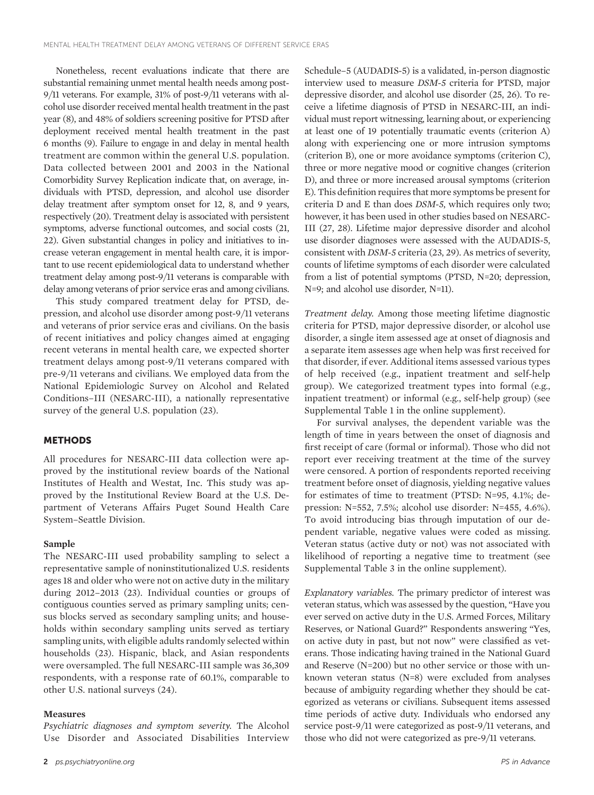Nonetheless, recent evaluations indicate that there are substantial remaining unmet mental health needs among post-9/11 veterans. For example, 31% of post-9/11 veterans with alcohol use disorder received mental health treatment in the past year (8), and 48% of soldiers screening positive for PTSD after deployment received mental health treatment in the past 6 months (9). Failure to engage in and delay in mental health treatment are common within the general U.S. population. Data collected between 2001 and 2003 in the National Comorbidity Survey Replication indicate that, on average, individuals with PTSD, depression, and alcohol use disorder delay treatment after symptom onset for 12, 8, and 9 years, respectively (20). Treatment delay is associated with persistent symptoms, adverse functional outcomes, and social costs (21, 22). Given substantial changes in policy and initiatives to increase veteran engagement in mental health care, it is important to use recent epidemiological data to understand whether treatment delay among post-9/11 veterans is comparable with delay among veterans of prior service eras and among civilians.

This study compared treatment delay for PTSD, depression, and alcohol use disorder among post-9/11 veterans and veterans of prior service eras and civilians. On the basis of recent initiatives and policy changes aimed at engaging recent veterans in mental health care, we expected shorter treatment delays among post-9/11 veterans compared with pre-9/11 veterans and civilians. We employed data from the National Epidemiologic Survey on Alcohol and Related Conditions–III (NESARC-III), a nationally representative survey of the general U.S. population (23).

## **METHODS**

All procedures for NESARC-III data collection were approved by the institutional review boards of the National Institutes of Health and Westat, Inc. This study was approved by the Institutional Review Board at the U.S. Department of Veterans Affairs Puget Sound Health Care System–Seattle Division.

## Sample

The NESARC-III used probability sampling to select a representative sample of noninstitutionalized U.S. residents ages 18 and older who were not on active duty in the military during 2012–2013 (23). Individual counties or groups of contiguous counties served as primary sampling units; census blocks served as secondary sampling units; and households within secondary sampling units served as tertiary sampling units, with eligible adults randomly selected within households (23). Hispanic, black, and Asian respondents were oversampled. The full NESARC-III sample was 36,309 respondents, with a response rate of 60.1%, comparable to other U.S. national surveys (24).

## Measures

Psychiatric diagnoses and symptom severity. The Alcohol Use Disorder and Associated Disabilities Interview

Schedule–5 (AUDADIS-5) is a validated, in-person diagnostic interview used to measure DSM-5 criteria for PTSD, major depressive disorder, and alcohol use disorder (25, 26). To receive a lifetime diagnosis of PTSD in NESARC-III, an individual must report witnessing, learning about, or experiencing at least one of 19 potentially traumatic events (criterion A) along with experiencing one or more intrusion symptoms (criterion B), one or more avoidance symptoms (criterion C), three or more negative mood or cognitive changes (criterion D), and three or more increased arousal symptoms (criterion E). This definition requires that more symptoms be present for criteria D and E than does DSM-5, which requires only two; however, it has been used in other studies based on NESARC-III (27, 28). Lifetime major depressive disorder and alcohol use disorder diagnoses were assessed with the AUDADIS-5, consistent with DSM-5 criteria (23, 29). As metrics of severity, counts of lifetime symptoms of each disorder were calculated from a list of potential symptoms (PTSD, N=20; depression, N=9; and alcohol use disorder, N=11).

Treatment delay. Among those meeting lifetime diagnostic criteria for PTSD, major depressive disorder, or alcohol use disorder, a single item assessed age at onset of diagnosis and a separate item assesses age when help was first received for that disorder, if ever. Additional items assessed various types of help received (e.g., inpatient treatment and self-help group). We categorized treatment types into formal (e.g., inpatient treatment) or informal (e.g., self-help group) (see Supplemental Table 1 in the online supplement).

For survival analyses, the dependent variable was the length of time in years between the onset of diagnosis and first receipt of care (formal or informal). Those who did not report ever receiving treatment at the time of the survey were censored. A portion of respondents reported receiving treatment before onset of diagnosis, yielding negative values for estimates of time to treatment (PTSD: N=95, 4.1%; depression: N=552, 7.5%; alcohol use disorder: N=455, 4.6%). To avoid introducing bias through imputation of our dependent variable, negative values were coded as missing. Veteran status (active duty or not) was not associated with likelihood of reporting a negative time to treatment (see Supplemental Table 3 in the online supplement).

Explanatory variables. The primary predictor of interest was veteran status, which was assessed by the question, "Have you ever served on active duty in the U.S. Armed Forces, Military Reserves, or National Guard?" Respondents answering "Yes, on active duty in past, but not now" were classified as veterans. Those indicating having trained in the National Guard and Reserve (N=200) but no other service or those with unknown veteran status (N=8) were excluded from analyses because of ambiguity regarding whether they should be categorized as veterans or civilians. Subsequent items assessed time periods of active duty. Individuals who endorsed any service post-9/11 were categorized as post-9/11 veterans, and those who did not were categorized as pre-9/11 veterans.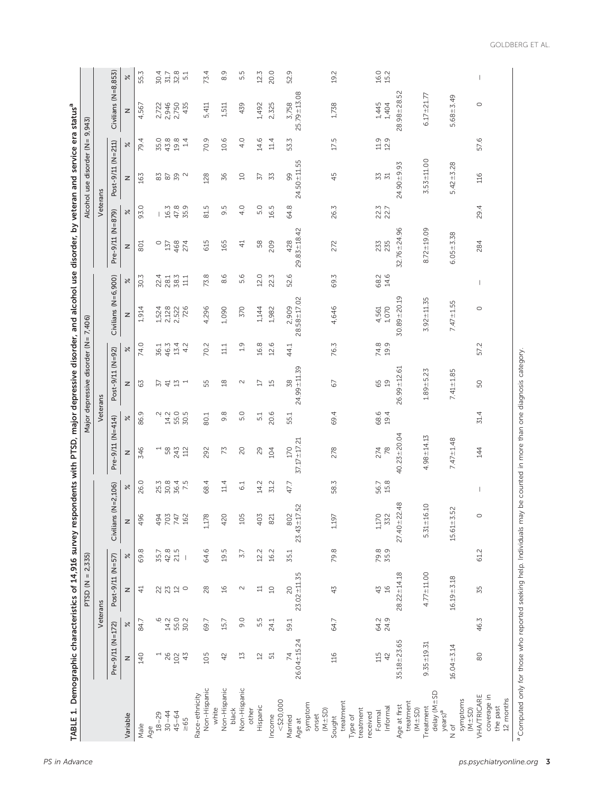| 3                                                     |  |
|-------------------------------------------------------|--|
|                                                       |  |
|                                                       |  |
|                                                       |  |
|                                                       |  |
|                                                       |  |
|                                                       |  |
|                                                       |  |
|                                                       |  |
|                                                       |  |
|                                                       |  |
|                                                       |  |
|                                                       |  |
|                                                       |  |
|                                                       |  |
|                                                       |  |
| こりころ                                                  |  |
|                                                       |  |
|                                                       |  |
|                                                       |  |
|                                                       |  |
|                                                       |  |
|                                                       |  |
|                                                       |  |
|                                                       |  |
|                                                       |  |
|                                                       |  |
|                                                       |  |
| S NA                                                  |  |
| 1<br>2<br>2<br>2<br>2                                 |  |
| ۱                                                     |  |
|                                                       |  |
| j                                                     |  |
| í                                                     |  |
|                                                       |  |
|                                                       |  |
|                                                       |  |
|                                                       |  |
|                                                       |  |
|                                                       |  |
|                                                       |  |
|                                                       |  |
| vsurvev                                               |  |
|                                                       |  |
|                                                       |  |
|                                                       |  |
| ֕                                                     |  |
|                                                       |  |
|                                                       |  |
|                                                       |  |
|                                                       |  |
|                                                       |  |
|                                                       |  |
|                                                       |  |
|                                                       |  |
|                                                       |  |
|                                                       |  |
|                                                       |  |
| l                                                     |  |
| ֦֖֚֘֝֕֕<br>י                                          |  |
| j<br>j<br>֦֧֦֧֦֧֦֧֦֧֦֧֦֧֦֧֦֧֦֧֦֧֦֧֦֧֦֧֦֧֦֧֦֧֧֚֚֚֚֬֜֓֓ |  |
| ŕ                                                     |  |
|                                                       |  |

| TABLE 1. Demographic characteristics of 14,916 survey respondents with PTSD, major depressive disorder, and alcohol use disorder, by veteran and service era status <sup>a</sup> |                   |                | PTSD ( $N = 2,335$ )                             |              |                                          |              |                          |                     | Major depressive disorder (N= 7,406) |               |                     |                      |                   |              | Alcohol use disorder (N= 9,943) |              |                     |              |
|----------------------------------------------------------------------------------------------------------------------------------------------------------------------------------|-------------------|----------------|--------------------------------------------------|--------------|------------------------------------------|--------------|--------------------------|---------------------|--------------------------------------|---------------|---------------------|----------------------|-------------------|--------------|---------------------------------|--------------|---------------------|--------------|
|                                                                                                                                                                                  |                   | Veterans       |                                                  |              |                                          |              |                          | Veterans            |                                      |               |                     |                      |                   | Veterans     |                                 |              |                     |              |
|                                                                                                                                                                                  | Pre-9/11 (N=172)  |                | Post-9/11 (N=57)                                 |              | Civilians $(N=2,106)$                    |              | $Pre-9/11 (N=414)$       |                     | Post-9/11 (N=92)                     |               | Civilians (N=6,900) |                      | Pre-9/11 (N=879)  |              | Post-9/11 (N=211)               |              | Civilians (N=8,853) |              |
| Variable                                                                                                                                                                         | z                 | $\approx$      | z                                                | $\approx$    | Z                                        | $\approx$    | z                        | $\approx$           | z                                    | $\approx$     | z                   | $\approx$            | z                 | $\approx$    | z                               | $\approx$    | z                   | $\approx$    |
| Male                                                                                                                                                                             | 140               | 84.7           | $\frac{4}{4}$                                    | 69.8         | $\overline{\mathsf{O}}$<br>$\frac{1}{6}$ | 26.0         | 346                      | 86.9                | 63                                   | 74.0          | 1,914               | 30.3                 | 801               | 93.0         | 163                             | 79.4         | 4,567               | 55.3         |
| $18 - 29$<br>Age                                                                                                                                                                 |                   |                |                                                  |              |                                          |              | $\overline{\phantom{0}}$ |                     |                                      |               | 1,524               |                      | $\circ$           |              |                                 | 35.0         | 2,722               | 30.4         |
| $30 - 44$                                                                                                                                                                        |                   | $-6$<br>$-4.2$ |                                                  | 35.7<br>42.8 |                                          | 25.3<br>30.8 | $58$                     | $\ddot{\vec{z}}$ is | 57                                   | 36.1<br>46.3  | 2,128               |                      | 137               | 16.3         | $8\overline{5}$                 | 43.8         |                     | 31.7         |
| $45 - 64$                                                                                                                                                                        | $26$<br>102<br>43 | 55.0           | $\begin{array}{c} 23 \\ 24 \\ 36 \\ \end{array}$ | 21.5         | 494<br>707<br>402                        | 36.4         | 243                      | 55.0                | $\Xi$                                | 13.4          | 2,522               | 22.1<br>28.3<br>38.5 | 468               | 47.8         | $59$ $\circ$                    | 19.8         | 2,946<br>2,750      | 32.8         |
| $\geq 65$                                                                                                                                                                        |                   | 30.2           | $\circ$                                          |              |                                          | 7.5          | 112                      | 30.5                | $\overline{ }$                       | 4.2           | 726                 | 111                  | 274               | 35.9         |                                 | 14           | 435                 | 5.1          |
| Non-Hispanic<br>Race-ethnicity<br>white                                                                                                                                          | 105               | 69.7           | 28                                               | 64.6         | ${}^{\infty}$<br>1,17                    | 68.4         | 292                      | 80.1                | 55                                   | 70.2          | 4,296               | 73.8                 | 615               | 81.5         | 128                             | 70.9         | 5,411               | 73.4         |
| Non-Hispanic<br>black                                                                                                                                                            | 42                | 15.7           | $\frac{16}{1}$                                   | 19.5         | $\circ$<br>42                            | $11.4\,$     | 73                       | 9.8                 | $\frac{8}{2}$                        | $11.1\,$      | 1,090               | 8.6                  | 165               | 9.5          | 36                              | 10.6         | 1,511               | 8.9          |
| Non-Hispanic                                                                                                                                                                     | $\mathbb{Z}$      | 9.0            | $\sim$                                           | 3.7          | ம<br>$\Xi$                               | 6.1          | 20                       | 5.0                 | $\sim$                               | $\frac{9}{1}$ | 370                 | 5.6                  | $\overline{4}$    | 4.0          | $\supseteq$                     | 4.0          | 439                 | 5<br>ம்      |
| Hispanic<br>other                                                                                                                                                                | $\overline{2}$    | 5.5            | $\Xi$                                            | 12.2         | Σί<br>$\frac{1}{2}$                      | 14.2         | 29                       | 5.1                 | $\overline{\mathbb{L}}$              | 16.8          | 1,144               | 12.0                 | 58                | 5.0          | 57                              | 14.6         | 1,492               | 12.3         |
| $<$ \$20,000<br>Income                                                                                                                                                           | 51                | 24.1           | $\Box$                                           | 16.2         | 821                                      | 31.2         | 104                      | 20.6                | $\overline{1}$                       | 12.6          | 1,982               | 22.3                 | 209               | 16.5         | 53                              | 11.4         | 2,325               | 20.0         |
| Married                                                                                                                                                                          | 74                | 59.1           | 20                                               | 35.1         |                                          | 47.7         | 170                      | 55.1                | 38                                   | 44.1          | 2,909               | 52.6                 | 428               | 64.8         | 99                              | 53.3         | 3,758               | 52.9         |
| symptom<br>onset<br>Age at                                                                                                                                                       | $26.04 \pm 15.24$ |                | $23.02 + 11.35$                                  |              | $802$<br>23.43±17.52                     |              | 37.17 ± 17.21            |                     | 24.99 ± 11.39                        |               | $28.58 \pm 17.02$   |                      | $29.83 \pm 18.42$ |              | $24.50 + 11.55$                 |              | $25.79 \pm 13.08$   |              |
| treatment<br>$(M \pm SD)$<br>Type of<br>Sought                                                                                                                                   | 116               | 64.7           | 43                                               | 79.8         | 1,197                                    | 58.3         | 278                      | 69.4                | 67                                   | 76.3          | 4,646               | 69.3                 | 272               | 26.3         | 45                              | 17.5         | 1,738               | 19.2         |
| treatment<br>received                                                                                                                                                            |                   |                |                                                  |              |                                          |              |                          |                     |                                      |               |                     |                      |                   |              |                                 |              |                     |              |
| Informal<br>Formal                                                                                                                                                               | 42<br>115         | 24.9<br>64.2   | $\frac{1}{6}$<br>43                              | 79.8<br>35.9 | 1,170<br>332                             | 15.8<br>56.7 | $78$<br>274              | 68.6<br>19.4        | 65                                   | 74.8<br>19.9  | 1,070<br>4,561      | 68.2<br>14.6         | 235<br>233        | 22.3<br>22.7 | 33<br>$\overline{51}$           | 11.9<br>12.9 | 1,445<br>1,404      | 16.0<br>15.2 |
| Age at first                                                                                                                                                                     | $35.18 + 23.65$   |                | $28.22 \pm 14.18$                                |              | $27.40 \pm 22.48$                        |              | $40.23 + 20.04$          |                     | $26.99 + 12.61$                      |               | $30.89 + 20.19$     |                      | $32.76 + 24.96$   |              | 24.90±9.93                      |              | $28.98 + 28.52$     |              |
| $d$ elay ( $M \pm$ SD<br>treatment<br>Treatment<br>$(M \pm SD)$<br>$years)$ <sup>a</sup>                                                                                         | $9.35 + 19.31$    |                | $4.77 + 11.00$                                   |              | 6.10<br>$5.31 \pm 1$                     |              | $4.98 + 14.13$           |                     | $1.89 + 5.23$                        |               | $3.92 + 11.35$      |                      | $8.72 \pm 19.09$  |              | $3.53 + 11.00$                  |              | $6.17 + 21.77$      |              |
| symptoms<br>$(M \pm SD)$<br>N of                                                                                                                                                 | $16.04 + 3.14$    |                | $16.19 + 3.18$                                   |              | 3.52<br>$15.61 \pm 1$                    |              | $7.47 + 1.48$            |                     | $7.41 + 1.85$                        |               | $7.47 \pm 1.55$     |                      | $6.05 + 3.38$     |              | $5.42 + 3.28$                   |              | $5.68 + 3.49$       |              |
| VHA/TRICARE<br>coverage in<br>12 months<br>the past                                                                                                                              | 80                | 46.3           | 55                                               | 61.2         | $\circ$                                  |              | 144                      | 31.4                | 50                                   | 57.2          | $\circ$             |                      | 284               | 29.4         | 116                             | 57.6         | $\circ$             |              |
| <sup>a</sup> Computed only for those who reported seeking help. Individuals may be counted in more than one diagnosis category.                                                  |                   |                |                                                  |              |                                          |              |                          |                     |                                      |               |                     |                      |                   |              |                                 |              |                     |              |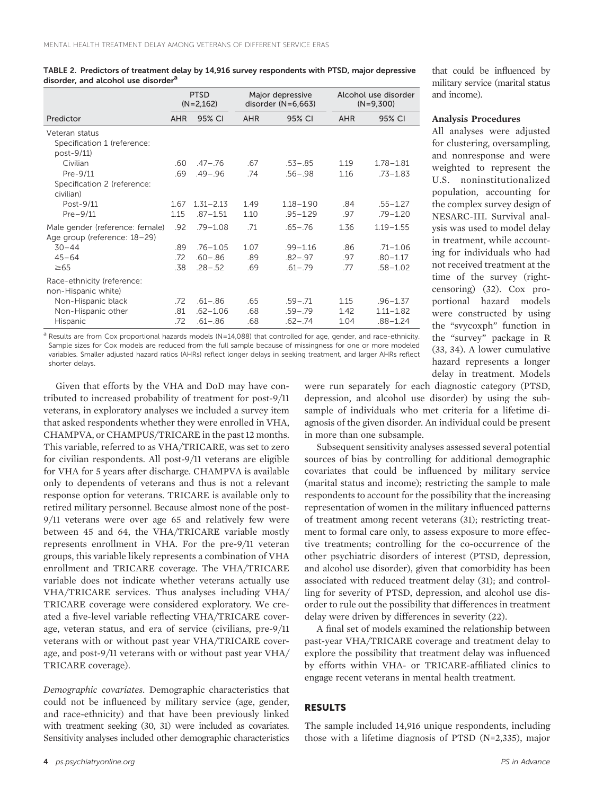|                                                                 |            | <b>PTSD</b><br>$(N=2,162)$ |      | Major depressive<br>disorder $(N=6,663)$ |      | Alcohol use disorder<br>$(N=9,300)$ |
|-----------------------------------------------------------------|------------|----------------------------|------|------------------------------------------|------|-------------------------------------|
| Predictor                                                       | <b>AHR</b> | 95% CI                     | AHR  | 95% CI                                   | AHR  | 95% CI                              |
| Veteran status<br>Specification 1 (reference:<br>post-9/11)     |            |                            |      |                                          |      |                                     |
| Civilian                                                        | .60        | $.47 - .76$                | .67  | $.53 - .85$                              | 1.19 | $1.78 - 1.81$                       |
| Pre-9/11<br>Specification 2 (reference:<br>civilian)            | .69        | $.49 - .96$                | .74  | $.56 - .98$                              | 1.16 | $.73 - 1.83$                        |
| Post-9/11                                                       | 1.67       | $1.31 - 2.13$              | 1.49 | $1.18 - 1.90$                            | .84  | $.55 - 1.27$                        |
| $Pre-9/11$                                                      | 1.15       | $.87 - 1.51$               | 1.10 | $.95 - 1.29$                             | .97  | $.79 - 1.20$                        |
| Male gender (reference: female)<br>Age group (reference: 18–29) | .92        | $.79 - 1.08$               | .71  | $.65 - .76$                              | 1.36 | $1.19 - 1.55$                       |
| $30 - 44$                                                       | .89        | $.76 - 1.05$               | 1.07 | $.99 - 1.16$                             | .86  | $.71 - 1.06$                        |
| $45 - 64$                                                       | .72        | $.60 - .86$                | .89  | $.82 - .97$                              | .97  | $.80 - 1.17$                        |
| $\geq 65$                                                       | .38        | $.28 - .52$                | .69  | $.61 - .79$                              | .77  | $.58 - 1.02$                        |
| Race-ethnicity (reference:<br>non-Hispanic white)               |            |                            |      |                                          |      |                                     |
| Non-Hispanic black                                              | .72        | $.61 - .86$                | .65  | $.59 - .71$                              | 1.15 | $.96 - 1.37$                        |
| Non-Hispanic other                                              | .81        | $.62 - 1.06$               | .68  | $.59 - .79$                              | 1.42 | $1.11 - 1.82$                       |
| <b>Hispanic</b>                                                 | .72        | $.61 - .86$                | .68  | $.62 - .74$                              | 1.04 | $.88 - 1.24$                        |

TABLE 2. Predictors of treatment delay by 14,916 survey respondents with PTSD, major depressive disorder, and alcohol use disorder<sup>a</sup>

 $a$  Results are from Cox proportional hazards models (N=14,088) that controlled for age, gender, and race-ethnicity. Sample sizes for Cox models are reduced from the full sample because of missingness for one or more modeled variables. Smaller adjusted hazard ratios (AHRs) reflect longer delays in seeking treatment, and larger AHRs reflect shorter delays.

Given that efforts by the VHA and DoD may have contributed to increased probability of treatment for post-9/11 veterans, in exploratory analyses we included a survey item that asked respondents whether they were enrolled in VHA, CHAMPVA, or CHAMPUS/TRICARE in the past 12 months. This variable, referred to as VHA/TRICARE, was set to zero for civilian respondents. All post-9/11 veterans are eligible for VHA for 5 years after discharge. CHAMPVA is available only to dependents of veterans and thus is not a relevant response option for veterans. TRICARE is available only to retired military personnel. Because almost none of the post-9/11 veterans were over age 65 and relatively few were between 45 and 64, the VHA/TRICARE variable mostly represents enrollment in VHA. For the pre-9/11 veteran groups, this variable likely represents a combination of VHA enrollment and TRICARE coverage. The VHA/TRICARE variable does not indicate whether veterans actually use VHA/TRICARE services. Thus analyses including VHA/ TRICARE coverage were considered exploratory. We created a five-level variable reflecting VHA/TRICARE coverage, veteran status, and era of service (civilians, pre-9/11 veterans with or without past year VHA/TRICARE coverage, and post-9/11 veterans with or without past year VHA/ TRICARE coverage).

Demographic covariates. Demographic characteristics that could not be influenced by military service (age, gender, and race-ethnicity) and that have been previously linked with treatment seeking (30, 31) were included as covariates. Sensitivity analyses included other demographic characteristics

that could be influenced by military service (marital status and income).

## Analysis Procedures

All analyses were adjusted for clustering, oversampling, and nonresponse and were weighted to represent the U.S. noninstitutionalized population, accounting for the complex survey design of NESARC-III. Survival analysis was used to model delay in treatment, while accounting for individuals who had not received treatment at the time of the survey (rightcensoring) (32). Cox proportional hazard models were constructed by using the "svycoxph" function in the "survey" package in R (33, 34). A lower cumulative hazard represents a longer delay in treatment. Models

were run separately for each diagnostic category (PTSD, depression, and alcohol use disorder) by using the subsample of individuals who met criteria for a lifetime diagnosis of the given disorder. An individual could be present in more than one subsample.

Subsequent sensitivity analyses assessed several potential sources of bias by controlling for additional demographic covariates that could be influenced by military service (marital status and income); restricting the sample to male respondents to account for the possibility that the increasing representation of women in the military influenced patterns of treatment among recent veterans (31); restricting treatment to formal care only, to assess exposure to more effective treatments; controlling for the co-occurrence of the other psychiatric disorders of interest (PTSD, depression, and alcohol use disorder), given that comorbidity has been associated with reduced treatment delay (31); and controlling for severity of PTSD, depression, and alcohol use disorder to rule out the possibility that differences in treatment delay were driven by differences in severity (22).

A final set of models examined the relationship between past-year VHA/TRICARE coverage and treatment delay to explore the possibility that treatment delay was influenced by efforts within VHA- or TRICARE-affiliated clinics to engage recent veterans in mental health treatment.

# RESULTS

The sample included 14,916 unique respondents, including those with a lifetime diagnosis of PTSD (N=2,335), major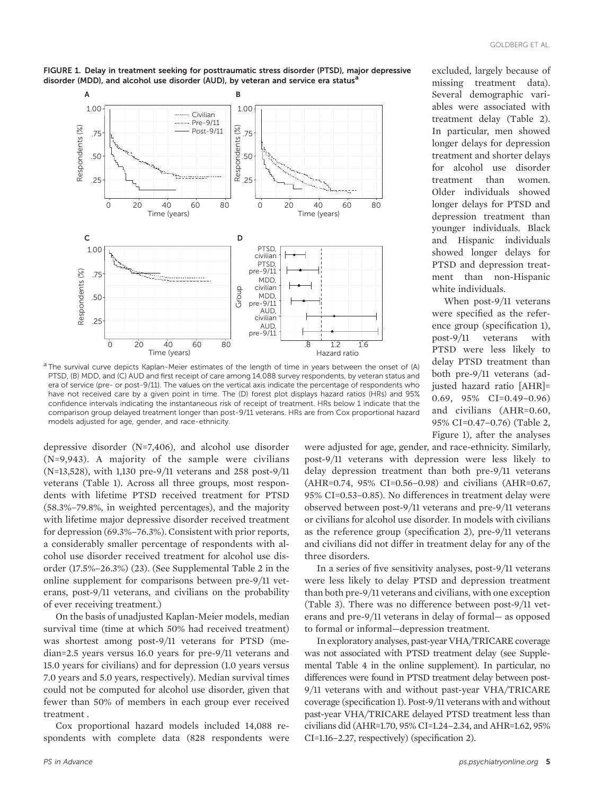



a The survival curve depicts Kaplan-Meier estimates of the length of time in years between the onset of (A) PTSD, (B) MDD, and (C) AUD and first receipt of care among 14,088 survey respondents, by veteran status and era of service (pre- or post-9/11). The values on the vertical axis indicate the percentage of respondents who have not received care by a given point in time. The (D) forest plot displays hazard ratios (HRs) and 95% confidence intervals indicating the instantaneous risk of receipt of treatment. HRs below 1 indicate that the comparison group delayed treatment longer than post-9/11 veterans. HRs are from Cox proportional hazard models adjusted for age, gender, and race-ethnicity.

depressive disorder (N=7,406), and alcohol use disorder (N=9,943). A majority of the sample were civilians (N=13,528), with 1,130 pre-9/11 veterans and 258 post-9/11 veterans (Table 1). Across all three groups, most respondents with lifetime PTSD received treatment for PTSD (58.3%–79.8%, in weighted percentages), and the majority with lifetime major depressive disorder received treatment for depression (69.3%–76.3%). Consistent with prior reports, a considerably smaller percentage of respondents with alcohol use disorder received treatment for alcohol use disorder (17.5%–26.3%) (23). (See Supplemental Table 2 in the online supplement for comparisons between pre-9/11 veterans, post-9/11 veterans, and civilians on the probability of ever receiving treatment.)

On the basis of unadjusted Kaplan-Meier models, median survival time (time at which 50% had received treatment) was shortest among post-9/11 veterans for PTSD (median=2.5 years versus 16.0 years for pre-9/11 veterans and 15.0 years for civilians) and for depression (1.0 years versus 7.0 years and 5.0 years, respectively). Median survival times could not be computed for alcohol use disorder, given that fewer than 50% of members in each group ever received treatment .

Cox proportional hazard models included 14,088 respondents with complete data (828 respondents were excluded, largely because of missing treatment data). Several demographic variables were associated with treatment delay (Table 2). In particular, men showed longer delays for depression treatment and shorter delays for alcohol use disorder treatment than women. Older individuals showed longer delays for PTSD and depression treatment than younger individuals. Black and Hispanic individuals showed longer delays for PTSD and depression treatment than non-Hispanic white individuals.

When post-9/11 veterans were specified as the reference group (specification 1), post-9/11 veterans with PTSD were less likely to delay PTSD treatment than both pre-9/11 veterans (adjusted hazard ratio [AHR]= 0.69, 95% CI=0.49–0.96) and civilians (AHR=0.60, 95% CI=0.47–0.76) (Table 2, Figure 1), after the analyses

were adjusted for age, gender, and race-ethnicity. Similarly, post-9/11 veterans with depression were less likely to delay depression treatment than both pre-9/11 veterans (AHR=0.74, 95% CI=0.56–0.98) and civilians (AHR=0.67, 95% CI=0.53–0.85). No differences in treatment delay were observed between post-9/11 veterans and pre-9/11 veterans or civilians for alcohol use disorder. In models with civilians as the reference group (specification 2), pre-9/11 veterans and civilians did not differ in treatment delay for any of the three disorders.

In a series of five sensitivity analyses, post-9/11 veterans were less likely to delay PTSD and depression treatment than both pre-9/11 veterans and civilians, with one exception (Table 3). There was no difference between post-9/11 veterans and pre-9/11 veterans in delay of formal— as opposed to formal or informal—depression treatment.

In exploratory analyses, past-year VHA/TRICARE coverage was not associated with PTSD treatment delay (see Supplemental Table 4 in the online supplement). In particular, no differences were found in PTSD treatment delay between post-9/11 veterans with and without past-year VHA/TRICARE coverage (specification 1). Post-9/11 veterans with and without past-year VHA/TRICARE delayed PTSD treatment less than civilians did (AHR=1.70, 95% CI=1.24–2.34, and AHR=1.62, 95% CI=1.16–2.27, respectively) (specification 2).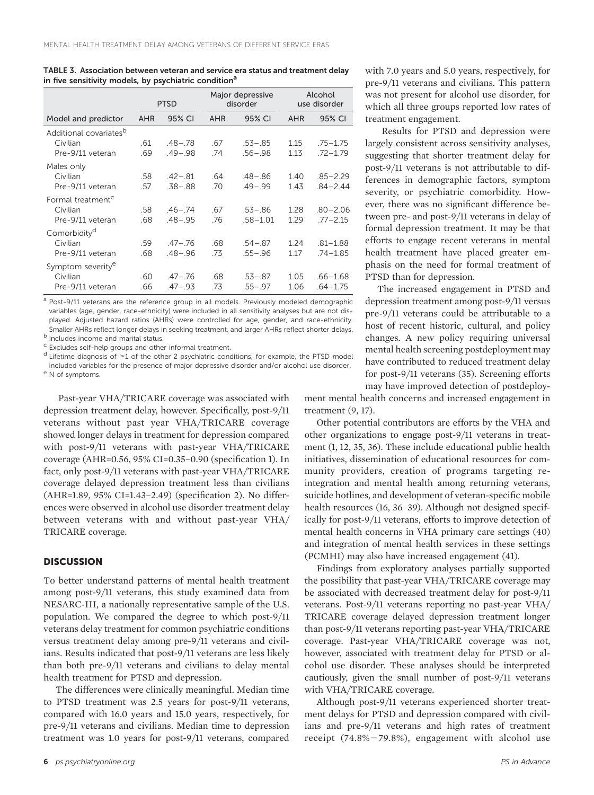|                                    | <b>PTSD</b> |             | Major depressive<br>disorder |              | Alcohol<br>use disorder |              |
|------------------------------------|-------------|-------------|------------------------------|--------------|-------------------------|--------------|
| Model and predictor                | <b>AHR</b>  | 95% CI      | <b>AHR</b>                   | 95% CI       | <b>AHR</b>              | 95% CI       |
| Additional covariates <sup>b</sup> |             |             |                              |              |                         |              |
| Civilian                           | .61         | $.48 - .78$ | .67                          | $.53 - .85$  | 1.15                    | $.75 - 1.75$ |
| Pre-9/11 veteran                   | .69         | $.49 - .98$ | .74                          | $.56 - .98$  | 1.13                    | $.72 - 1.79$ |
| Males only                         |             |             |                              |              |                         |              |
| Civilian                           | .58         | $.42 - .81$ | .64                          | $.48 - .86$  | 1.40                    | $.85 - 2.29$ |
| Pre-9/11 veteran                   | .57         | $.38 - .88$ | .70                          | $.49 - .99$  | 1.43                    | $.84 - 2.44$ |
| Formal treatment <sup>c</sup>      |             |             |                              |              |                         |              |
| Civilian                           | .58         | $.46 - .74$ | .67                          | $.53 - .86$  | 1.28                    | $.80 - 2.06$ |
| Pre-9/11 veteran                   | .68         | $.48 - .95$ | .76                          | $.58 - 1.01$ | 1.29                    | $.77 - 2.15$ |
| Comorbidity <sup>d</sup>           |             |             |                              |              |                         |              |
| Civilian                           | .59         | $.47 - .76$ | .68                          | $.54 - .87$  | 1.24                    | $.81 - 1.88$ |
| Pre-9/11 veteran                   | .68         | $.48 - .96$ | .73                          | $.55 - .96$  | 1.17                    | $.74 - 1.85$ |
| Symptom severity <sup>e</sup>      |             |             |                              |              |                         |              |
| Civilian                           | .60         | $.47 - .76$ | .68                          | $.53 - .87$  | 1.05                    | $.66 - 1.68$ |
| Pre-9/11 veteran                   | .66         | $.47 - .93$ | .73                          | $.55 - .97$  | 1.06                    | $.64 - 1.75$ |

TABLE 3. Association between veteran and service era status and treatment delay in five sensitivity models, by psychiatric condition<sup>a</sup>

<sup>a</sup> Post-9/11 veterans are the reference group in all models. Previously modeled demographic variables (age, gender, race-ethnicity) were included in all sensitivity analyses but are not displayed. Adjusted hazard ratios (AHRs) were controlled for age, gender, and race-ethnicity. Smaller AHRs reflect longer delays in seeking treatment, and larger AHRs reflect shorter delays.<br><sup>b</sup> Includes income and marital status.

<sup>c</sup> Excludes self-help groups and other informal treatment.

 $d$  Lifetime diagnosis of  $\geq 1$  of the other 2 psychiatric conditions; for example, the PTSD model included variables for the presence of major depressive disorder and/or alcohol use disorder. <sup>e</sup> N of symptoms.

Past-year VHA/TRICARE coverage was associated with depression treatment delay, however. Specifically, post-9/11 veterans without past year VHA/TRICARE coverage showed longer delays in treatment for depression compared with post-9/11 veterans with past-year VHA/TRICARE coverage (AHR=0.56, 95% CI=0.35–0.90 (specification 1). In fact, only post-9/11 veterans with past-year VHA/TRICARE coverage delayed depression treatment less than civilians (AHR=1.89, 95% CI=1.43–2.49) (specification 2). No differences were observed in alcohol use disorder treatment delay between veterans with and without past-year VHA/ TRICARE coverage.

## **DISCUSSION**

To better understand patterns of mental health treatment among post-9/11 veterans, this study examined data from NESARC-III, a nationally representative sample of the U.S. population. We compared the degree to which post-9/11 veterans delay treatment for common psychiatric conditions versus treatment delay among pre-9/11 veterans and civilians. Results indicated that post-9/11 veterans are less likely than both pre-9/11 veterans and civilians to delay mental health treatment for PTSD and depression.

The differences were clinically meaningful. Median time to PTSD treatment was 2.5 years for post-9/11 veterans, compared with 16.0 years and 15.0 years, respectively, for pre-9/11 veterans and civilians. Median time to depression treatment was 1.0 years for post-9/11 veterans, compared

with 7.0 years and 5.0 years, respectively, for pre-9/11 veterans and civilians. This pattern was not present for alcohol use disorder, for which all three groups reported low rates of treatment engagement.

Results for PTSD and depression were largely consistent across sensitivity analyses, suggesting that shorter treatment delay for post-9/11 veterans is not attributable to differences in demographic factors, symptom severity, or psychiatric comorbidity. However, there was no significant difference between pre- and post-9/11 veterans in delay of formal depression treatment. It may be that efforts to engage recent veterans in mental health treatment have placed greater emphasis on the need for formal treatment of PTSD than for depression.

The increased engagement in PTSD and depression treatment among post-9/11 versus pre-9/11 veterans could be attributable to a host of recent historic, cultural, and policy changes. A new policy requiring universal mental health screening postdeployment may have contributed to reduced treatment delay for post-9/11 veterans (35). Screening efforts may have improved detection of postdeploy-

ment mental health concerns and increased engagement in treatment (9, 17).

Other potential contributors are efforts by the VHA and other organizations to engage post-9/11 veterans in treatment (1, 12, 35, 36). These include educational public health initiatives, dissemination of educational resources for community providers, creation of programs targeting reintegration and mental health among returning veterans, suicide hotlines, and development of veteran-specific mobile health resources (16, 36–39). Although not designed specifically for post-9/11 veterans, efforts to improve detection of mental health concerns in VHA primary care settings (40) and integration of mental health services in these settings (PCMHI) may also have increased engagement (41).

Findings from exploratory analyses partially supported the possibility that past-year VHA/TRICARE coverage may be associated with decreased treatment delay for post-9/11 veterans. Post-9/11 veterans reporting no past-year VHA/ TRICARE coverage delayed depression treatment longer than post-9/11 veterans reporting past-year VHA/TRICARE coverage. Past-year VHA/TRICARE coverage was not, however, associated with treatment delay for PTSD or alcohol use disorder. These analyses should be interpreted cautiously, given the small number of post-9/11 veterans with VHA/TRICARE coverage.

Although post-9/11 veterans experienced shorter treatment delays for PTSD and depression compared with civilians and pre-9/11 veterans and high rates of treatment receipt  $(74.8\% - 79.8\%)$ , engagement with alcohol use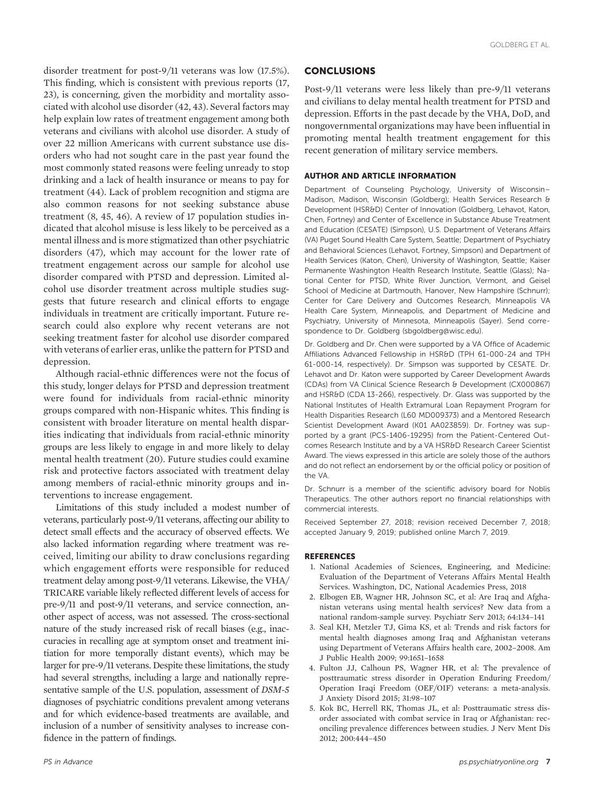disorder treatment for post-9/11 veterans was low (17.5%). This finding, which is consistent with previous reports (17, 23), is concerning, given the morbidity and mortality associated with alcohol use disorder (42, 43). Several factors may help explain low rates of treatment engagement among both veterans and civilians with alcohol use disorder. A study of over 22 million Americans with current substance use disorders who had not sought care in the past year found the most commonly stated reasons were feeling unready to stop drinking and a lack of health insurance or means to pay for treatment (44). Lack of problem recognition and stigma are also common reasons for not seeking substance abuse treatment (8, 45, 46). A review of 17 population studies indicated that alcohol misuse is less likely to be perceived as a mental illness and is more stigmatized than other psychiatric disorders (47), which may account for the lower rate of treatment engagement across our sample for alcohol use disorder compared with PTSD and depression. Limited alcohol use disorder treatment across multiple studies suggests that future research and clinical efforts to engage individuals in treatment are critically important. Future research could also explore why recent veterans are not seeking treatment faster for alcohol use disorder compared with veterans of earlier eras, unlike the pattern for PTSD and depression.

Although racial-ethnic differences were not the focus of this study, longer delays for PTSD and depression treatment were found for individuals from racial-ethnic minority groups compared with non-Hispanic whites. This finding is consistent with broader literature on mental health disparities indicating that individuals from racial-ethnic minority groups are less likely to engage in and more likely to delay mental health treatment (20). Future studies could examine risk and protective factors associated with treatment delay among members of racial-ethnic minority groups and interventions to increase engagement.

Limitations of this study included a modest number of veterans, particularly post-9/11 veterans, affecting our ability to detect small effects and the accuracy of observed effects. We also lacked information regarding where treatment was received, limiting our ability to draw conclusions regarding which engagement efforts were responsible for reduced treatment delay among post-9/11 veterans. Likewise, the VHA/ TRICARE variable likely reflected different levels of access for pre-9/11 and post-9/11 veterans, and service connection, another aspect of access, was not assessed. The cross-sectional nature of the study increased risk of recall biases (e.g., inaccuracies in recalling age at symptom onset and treatment initiation for more temporally distant events), which may be larger for pre-9/11 veterans. Despite these limitations, the study had several strengths, including a large and nationally representative sample of the U.S. population, assessment of DSM-5 diagnoses of psychiatric conditions prevalent among veterans and for which evidence-based treatments are available, and inclusion of a number of sensitivity analyses to increase confidence in the pattern of findings.

## CONCLUSIONS

Post-9/11 veterans were less likely than pre-9/11 veterans and civilians to delay mental health treatment for PTSD and depression. Efforts in the past decade by the VHA, DoD, and nongovernmental organizations may have been influential in promoting mental health treatment engagement for this recent generation of military service members.

### AUTHOR AND ARTICLE INFORMATION

Department of Counseling Psychology, University of Wisconsin– Madison, Madison, Wisconsin (Goldberg); Health Services Research & Development (HSR&D) Center of Innovation (Goldberg, Lehavot, Katon, Chen, Fortney) and Center of Excellence in Substance Abuse Treatment and Education (CESATE) (Simpson), U.S. Department of Veterans Affairs (VA) Puget Sound Health Care System, Seattle; Department of Psychiatry and Behavioral Sciences (Lehavot, Fortney, Simpson) and Department of Health Services (Katon, Chen), University of Washington, Seattle; Kaiser Permanente Washington Health Research Institute, Seattle (Glass); National Center for PTSD, White River Junction, Vermont, and Geisel School of Medicine at Dartmouth, Hanover, New Hampshire (Schnurr); Center for Care Delivery and Outcomes Research, Minneapolis VA Health Care System, Minneapolis, and Department of Medicine and Psychiatry, University of Minnesota, Minneapolis (Sayer). Send correspondence to Dr. Goldberg [\(sbgoldberg@wisc.edu](mailto:sbgoldberg@wisc.edu)).

Dr. Goldberg and Dr. Chen were supported by a VA Office of Academic Affiliations Advanced Fellowship in HSR&D (TPH 61-000-24 and TPH 61-000-14, respectively). Dr. Simpson was supported by CESATE. Dr. Lehavot and Dr. Katon were supported by Career Development Awards (CDAs) from VA Clinical Science Research & Development (CX000867) and HSR&D (CDA 13-266), respectively. Dr. Glass was supported by the National Institutes of Health Extramural Loan Repayment Program for Health Disparities Research (L60 MD009373) and a Mentored Research Scientist Development Award (K01 AA023859). Dr. Fortney was supported by a grant (PCS-1406-19295) from the Patient-Centered Outcomes Research Institute and by a VA HSR&D Research Career Scientist Award. The views expressed in this article are solely those of the authors and do not reflect an endorsement by or the official policy or position of the VA.

Dr. Schnurr is a member of the scientific advisory board for Noblis Therapeutics. The other authors report no financial relationships with commercial interests.

Received September 27, 2018; revision received December 7, 2018; accepted January 9, 2019; published online March 7, 2019.

### REFERENCES

- 1. National Academies of Sciences, Engineering, and Medicine: Evaluation of the Department of Veterans Affairs Mental Health Services. Washington, DC, National Academies Press, 2018
- 2. Elbogen EB, Wagner HR, Johnson SC, et al: Are Iraq and Afghanistan veterans using mental health services? New data from a national random-sample survey. Psychiatr Serv 2013; 64:134–141
- 3. Seal KH, Metzler TJ, Gima KS, et al: Trends and risk factors for mental health diagnoses among Iraq and Afghanistan veterans using Department of Veterans Affairs health care, 2002–2008. Am J Public Health 2009; 99:1651–1658
- 4. Fulton JJ, Calhoun PS, Wagner HR, et al: The prevalence of posttraumatic stress disorder in Operation Enduring Freedom/ Operation Iraqi Freedom (OEF/OIF) veterans: a meta-analysis. J Anxiety Disord 2015; 31:98–107
- 5. Kok BC, Herrell RK, Thomas JL, et al: Posttraumatic stress disorder associated with combat service in Iraq or Afghanistan: reconciling prevalence differences between studies. J Nerv Ment Dis 2012; 200:444–450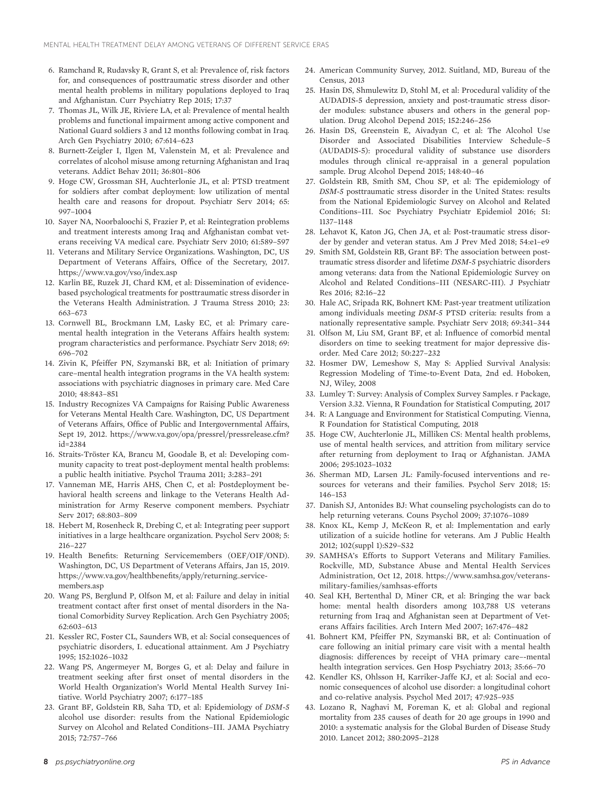- 6. Ramchand R, Rudavsky R, Grant S, et al: Prevalence of, risk factors for, and consequences of posttraumatic stress disorder and other mental health problems in military populations deployed to Iraq and Afghanistan. Curr Psychiatry Rep 2015; 17:37
- 7. Thomas JL, Wilk JE, Riviere LA, et al: Prevalence of mental health problems and functional impairment among active component and National Guard soldiers 3 and 12 months following combat in Iraq. Arch Gen Psychiatry 2010; 67:614–623
- 8. Burnett-Zeigler I, Ilgen M, Valenstein M, et al: Prevalence and correlates of alcohol misuse among returning Afghanistan and Iraq veterans. Addict Behav 2011; 36:801–806
- 9. Hoge CW, Grossman SH, Auchterlonie JL, et al: PTSD treatment for soldiers after combat deployment: low utilization of mental health care and reasons for dropout. Psychiatr Serv 2014; 65: 997–1004
- 10. Sayer NA, Noorbaloochi S, Frazier P, et al: Reintegration problems and treatment interests among Iraq and Afghanistan combat veterans receiving VA medical care. Psychiatr Serv 2010; 61:589–597
- 11. Veterans and Military Service Organizations. Washington, DC, US Department of Veterans Affairs, Office of the Secretary, 2017. <https://www.va.gov/vso/index.asp>
- 12. Karlin BE, Ruzek JI, Chard KM, et al: Dissemination of evidencebased psychological treatments for posttraumatic stress disorder in the Veterans Health Administration. J Trauma Stress 2010; 23: 663–673
- 13. Cornwell BL, Brockmann LM, Lasky EC, et al: Primary caremental health integration in the Veterans Affairs health system: program characteristics and performance. Psychiatr Serv 2018; 69: 696–702
- 14. Zivin K, Pfeiffer PN, Szymanski BR, et al: Initiation of primary care–mental health integration programs in the VA health system: associations with psychiatric diagnoses in primary care. Med Care 2010; 48:843–851
- 15. Industry Recognizes VA Campaigns for Raising Public Awareness for Veterans Mental Health Care. Washington, DC, US Department of Veterans Affairs, Office of Public and Intergovernmental Affairs, Sept 19, 2012. [https://www.va.gov/opa/pressrel/pressrelease.cfm?](https://www.va.gov/opa/pressrel/pressrelease.cfm?id=2384) [id=2384](https://www.va.gov/opa/pressrel/pressrelease.cfm?id=2384)
- 16. Straits-Tröster KA, Brancu M, Goodale B, et al: Developing community capacity to treat post-deployment mental health problems: a public health initiative. Psychol Trauma 2011; 3:283–291
- 17. Vanneman ME, Harris AHS, Chen C, et al: Postdeployment behavioral health screens and linkage to the Veterans Health Administration for Army Reserve component members. Psychiatr Serv 2017; 68:803–809
- 18. Hebert M, Rosenheck R, Drebing C, et al: Integrating peer support initiatives in a large healthcare organization. Psychol Serv 2008; 5: 216–227
- 19. Health Benefits: Returning Servicemembers (OEF/OIF/OND). Washington, DC, US Department of Veterans Affairs, Jan 15, 2019. [https://www.va.gov/healthbene](https://www.va.gov/healthbenefits/apply/returning_servicemembers.asp)fits/apply/returning\_service[members.asp](https://www.va.gov/healthbenefits/apply/returning_servicemembers.asp)
- 20. Wang PS, Berglund P, Olfson M, et al: Failure and delay in initial treatment contact after first onset of mental disorders in the National Comorbidity Survey Replication. Arch Gen Psychiatry 2005; 62:603–613
- 21. Kessler RC, Foster CL, Saunders WB, et al: Social consequences of psychiatric disorders, I. educational attainment. Am J Psychiatry 1995; 152:1026–1032
- 22. Wang PS, Angermeyer M, Borges G, et al: Delay and failure in treatment seeking after first onset of mental disorders in the World Health Organization's World Mental Health Survey Initiative. World Psychiatry 2007; 6:177–185
- 23. Grant BF, Goldstein RB, Saha TD, et al: Epidemiology of DSM-5 alcohol use disorder: results from the National Epidemiologic Survey on Alcohol and Related Conditions–III. JAMA Psychiatry 2015; 72:757–766
- 24. American Community Survey, 2012. Suitland, MD, Bureau of the Census, 2013
- 25. Hasin DS, Shmulewitz D, Stohl M, et al: Procedural validity of the AUDADIS-5 depression, anxiety and post-traumatic stress disorder modules: substance abusers and others in the general population. Drug Alcohol Depend 2015; 152:246–256
- 26. Hasin DS, Greenstein E, Aivadyan C, et al: The Alcohol Use Disorder and Associated Disabilities Interview Schedule–5 (AUDADIS-5): procedural validity of substance use disorders modules through clinical re-appraisal in a general population sample. Drug Alcohol Depend 2015; 148:40–46
- 27. Goldstein RB, Smith SM, Chou SP, et al: The epidemiology of DSM-5 posttraumatic stress disorder in the United States: results from the National Epidemiologic Survey on Alcohol and Related Conditions–III. Soc Psychiatry Psychiatr Epidemiol 2016; 51: 1137–1148
- 28. Lehavot K, Katon JG, Chen JA, et al: Post-traumatic stress disorder by gender and veteran status. Am J Prev Med 2018; 54:e1–e9
- 29. Smith SM, Goldstein RB, Grant BF: The association between posttraumatic stress disorder and lifetime DSM-5 psychiatric disorders among veterans: data from the National Epidemiologic Survey on Alcohol and Related Conditions–III (NESARC-III). J Psychiatr Res 2016; 82:16–22
- 30. Hale AC, Sripada RK, Bohnert KM: Past-year treatment utilization among individuals meeting DSM-5 PTSD criteria: results from a nationally representative sample. Psychiatr Serv 2018; 69:341–344
- 31. Olfson M, Liu SM, Grant BF, et al: Influence of comorbid mental disorders on time to seeking treatment for major depressive disorder. Med Care 2012; 50:227–232
- 32. Hosmer DW, Lemeshow S, May S: Applied Survival Analysis: Regression Modeling of Time-to-Event Data, 2nd ed. Hoboken, NJ, Wiley, 2008
- 33. Lumley T: Survey: Analysis of Complex Survey Samples. r Package, Version 3.32. Vienna, R Foundation for Statistical Computing, 2017
- 34. R: A Language and Environment for Statistical Computing. Vienna, R Foundation for Statistical Computing, 2018
- 35. Hoge CW, Auchterlonie JL, Milliken CS: Mental health problems, use of mental health services, and attrition from military service after returning from deployment to Iraq or Afghanistan. JAMA 2006; 295:1023–1032
- 36. Sherman MD, Larsen JL: Family-focused interventions and resources for veterans and their families. Psychol Serv 2018; 15: 146–153
- 37. Danish SJ, Antonides BJ: What counseling psychologists can do to help returning veterans. Couns Psychol 2009; 37:1076–1089
- 38. Knox KL, Kemp J, McKeon R, et al: Implementation and early utilization of a suicide hotline for veterans. Am J Public Health 2012; 102(suppl 1):S29–S32
- 39. SAMHSA's Efforts to Support Veterans and Military Families. Rockville, MD, Substance Abuse and Mental Health Services Administration, Oct 12, 2018. [https://www.samhsa.gov/veterans](https://www.samhsa.gov/veterans-military-families/samhsas-efforts)[military-families/samhsas-efforts](https://www.samhsa.gov/veterans-military-families/samhsas-efforts)
- 40. Seal KH, Bertenthal D, Miner CR, et al: Bringing the war back home: mental health disorders among 103,788 US veterans returning from Iraq and Afghanistan seen at Department of Veterans Affairs facilities. Arch Intern Med 2007; 167:476–482
- 41. Bohnert KM, Pfeiffer PN, Szymanski BR, et al: Continuation of care following an initial primary care visit with a mental health diagnosis: differences by receipt of VHA primary care–-mental health integration services. Gen Hosp Psychiatry 2013; 35:66–70
- 42. Kendler KS, Ohlsson H, Karriker-Jaffe KJ, et al: Social and economic consequences of alcohol use disorder: a longitudinal cohort and co-relative analysis. Psychol Med 2017; 47:925–935
- 43. Lozano R, Naghavi M, Foreman K, et al: Global and regional mortality from 235 causes of death for 20 age groups in 1990 and 2010: a systematic analysis for the Global Burden of Disease Study 2010. Lancet 2012; 380:2095–2128